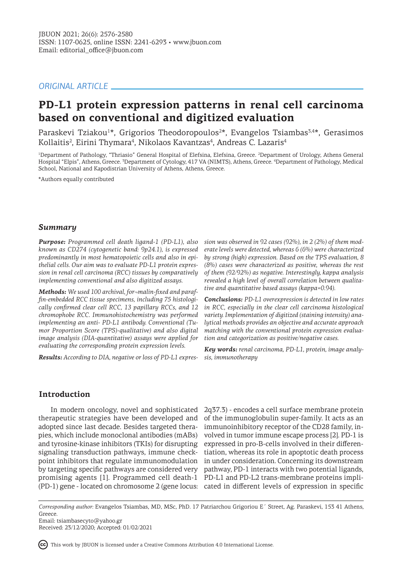# *ORIGINAL ARTICLE*

# **PD-L1 protein expression patterns in renal cell carcinoma based on conventional and digitized evaluation**

Paraskevi Tziakou<sup>1\*</sup>, Grigorios Theodoropoulos<sup>2\*</sup>, Evangelos Tsiambas<sup>3,4\*</sup>, Gerasimos Kollaitis<sup>2</sup>, Eirini Thymara<sup>4</sup>, Nikolaos Kavantzas<sup>4</sup>, Andreas C. Lazaris<sup>4</sup>

<sup>1</sup>Department of Pathology, "Thriasio" General Hospital of Elefsina, Elefsina, Greece. <sup>2</sup>Department of Urology, Athens General Hospital "Elpis", Athens, Greece. <sup>3</sup> Department of Cytology, 417 VA (NIMTS), Athens, Greece. <sup>4</sup> Department of Pathology, Medical School, National and Kapodistrian University of Athens, Athens, Greece.

\*Authors equally contributed

# *Summary*

*Purpose: Programmed cell death ligand-1 (PD-L1), also known as CD274 (cytogenetic band: 9p24.1), is expressed predominantly in most hematopoietic cells and also in epithelial cells. Our aim was to evaluate PD-L1 protein expression in renal cell carcinoma (RCC) tissues by comparatively implementing conventional and also digitized assays.* 

*Methods: We used 100 archival, for¬malin-fixed and paraffin-embedded RCC tissue specimens, including 75 histologically confirmed clear cell RCC, 13 papillary RCCs, and 12 chromophobe RCC. Immunohistochemistry was performed implementing an anti- PD-L1 antibody. Conventional (Tumor Proportion Score (TPS)-qualitative) and also digital image analysis (DIA-quantitative) assays were applied for evaluating the corresponding protein expression levels.* 

*Results: According to DIA, negative or loss of PD-L1 expres-*

*sion was observed in 92 cases (92%), in 2 (2%) of them moderate levels were detected, whereas 6 (6%) were characterized by strong (high) expression. Based on the TPS evaluation, 8 (8%) cases were characterized as positive, whereas the rest of them (92/92%) as negative. Interestingly, kappa analysis revealed a high level of overall correlation between qualitative and quantitative based assays (kappa=0.94).*

*Conclusions: PD-L1 overexpression is detected in low rates in RCC, especially in the clear cell carcinoma histological variety. Implementation of digitized (staining intensity) analytical methods provides an objective and accurate approach matching with the conventional protein expression evaluation and categorization as positive/negative cases.*

*Key words: renal carcinoma, PD-L1, protein, image analysis, immunotherapy*

# **Introduction**

therapeutic strategies have been developed and of the immunoglobulin super-family. It acts as an adopted since last decade. Besides targeted therapies, which include monoclonal antibodies (mABs) and tyrosine-kinase inhibitors (TKIs) for disrupting signaling transduction pathways, immune checkpoint inhibitors that regulate immunomodulation by targeting specific pathways are considered very promising agents [1]. Programmed cell death-1 PD-L1 and PD-L2 trans-membrane proteins impli-(PD-1) gene - located on chromosome 2 (gene locus: cated in different levels of expression in specific

In modern oncology, novel and sophisticated 2q37.3) - encodes a cell surface membrane protein immunoinhibitory receptor of the CD28 family, involved in tumor immune escape process [2]. PD-1 is expressed in pro-B-cells involved in their differentiation, whereas its role in apoptotic death process in under consideration. Concerning its downstream pathway, PD-1 interacts with two potential ligands,

*Corresponding author:* Evangelos Tsiambas, MD, MSc, PhD. 17 Patriarchou Grigoriou E΄ Street, Ag. Paraskevi, 153 41 Athens, Greece.

Email: tsiambasecyto@yahoo.gr

Received: 23/12/2020; Accepted: 01/02/2021

This work by JBUON is licensed under a Creative Commons Attribution 4.0 International License.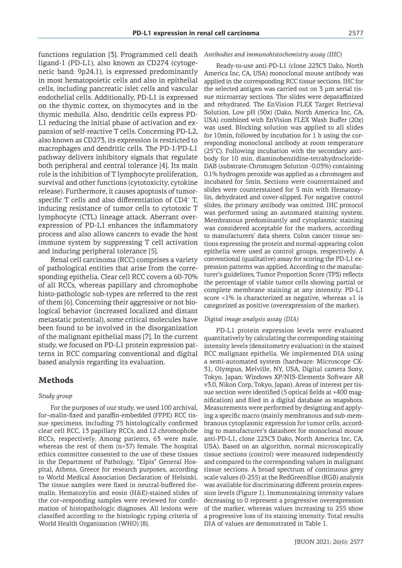functions regulation [3]. Programmed cell death ligand-1 (PD-L1), also known as CD274 (cytogenetic band: 9p24.1), is expressed predominantly in most hematopoietic cells and also in epithelial cells, including pancreatic islet cells and vascular endothelial cells. Additionally, PD-L1 is expressed on the thymic cortex, on thymocytes and in the thymic medulla. Also, dendritic cells express PD-L1 reducing the initial phase of activation and expansion of self-reactive T cells. Concerning PD-L2, also known as CD273, its expression is restricted to macrophages and dendritic cells. The PD-1/PD-L1 pathway delivers inhibitory signals that regulate both peripheral and central tolerance [4]. Its main role is the inhibition of T lymphocyte proliferation, survival and other functions (cytotoxicity, cytokine release). Furthermore, it causes apoptosis of tumorspecific T cells and also differentiation of CD4<sup>+</sup> T, inducing resistance of tumor cells to cytotoxic T lymphocyte (CTL) lineage attack. Aberrant overexpression of PD-L1 enhances the inflammatory process and also allows cancers to evade the host immune system by suppressing T cell activation and inducing peripheral tolerance [5].

Renal cell carcinoma (RCC) comprises a variety of pathological entities that arise from the corresponding epithelia. Clear cell RCC covers a 60-70% of all RCCs, whereas papillary and chromophobe histo-pathologic sub-types are referred to the rest of them [6]. Concerning their aggressive or not biological behavior (increased localized and distant metastatic potential), some critical molecules have been found to be involved in the disorganization of the malignant epithelial mass [7]. In the current study, we focused on PD-L1 protein expression patterns in RCC comparing conventional and digital based analysis regarding its evaluation.

### **Methods**

#### *Study group*

For the purposes of our study, we used 100 archival, for¬malin-fixed and paraffin-embedded (FFPE) RCC tissue specimens, including 75 histologically confirmed clear cell RCC, 13 papillary RCCs, and 12 chromophobe RCCs, respectively. Among patients, 63 were male, whereas the rest of them (n=37) female. The hospital ethics committee consented to the use of these tissues in the Department of Pathology, "Elpis" General Hospital, Athens, Greece for research purposes, according to World Medical Association Declaration of Helsinki. The tissue samples were fixed in neutral-buffered formalin. Hematoxylin and eosin (H&E)-stained slides of the cor¬responding samples were reviewed for confirmation of histopathologic diagnoses. All lesions were classified according to the histologic typing criteria of World Health Organization (WHO) [8].

#### *Antibodies and immunohistochemistry assay (IHC)*

Ready-to-use anti-PD-L1 (clone 223C3 Dako, North America Inc, CA, USA) monoclonal mouse antibody was applied in the corresponding RCC tissue sections. IHC for the selected antigen was carried out on 3 μm serial tissue microarray sections. The slides were deparaffinized and rehydrated. The EnVision FLEX Target Retrieval Solution, Low pH (50x) (Dako, North America Inc, CA, USA) combined with EnVision FLEX Wash Buffer (20x) was used. Blocking solution was applied to all slides for 10min, followed by incubation for 1 h using the corresponding monoclonal antibody at room temperature (25°C). Following incubation with the secondary antibody for 10 min, diaminobenzidine-tetrahydrocloride-DAB (substrate-Chromogen Solution -0.03%) containing 0.1% hydrogen peroxide was applied as a chromogen and incubated for 5min. Sections were counterstained and slides were counterstained for 5 min with Hematoxylin, dehydrated and cover-slipped. For negative control slides, the primary antibody was omitted. IHC protocol was performed using an automated staining system. Membranous predominantly and cytoplasmic staining was considered acceptable for the markers, according to manufacturers' data sheets. Colon cancer tissue sections expressing the protein and normal-appearing colon epithelia were used as control groups, respectively. A conventional (qualitative) assay for scoring the PD-L1 expression patterns was applied. According to the manufacturer's guidelines, Tumor Proportion Score (TPS) reflects the percentage of viable tumor cells showing partial or complete membrane staining at any intensity. PD-L1 score <1% is characterized as negative, whereas  $\geq 1$  is categorized as positive (overexpression of the marker).

#### *Digital image analysis assay (DIA)*

PD-L1 protein expression levels were evaluated quantitatively by calculating the corresponding staining intensity levels (densitometry evaluation) in the stained RCC malignant epithelia. We implemented DIA using a semi-automated system (hardware: Microscope CX-31, Olympus, Melville, NY, USA, Digital camera Sony, Tokyo, Japan; Windows XP/NIS-Elements Software AR v3.0, Nikon Corp, Tokyo, Japan). Areas of interest per tissue section were identified (5 optical fields at ×400 magnification) and filed in a digital database as snapshots. Measurements were performed by designing and applying a specific macro (mainly membranous and sub-membranous cytoplasmic expression for tumor cells, according to manufacturer's datasheet for monoclonal mouse anti-PD-L1, clone 223C3 Dako, North America Inc, CA, USA). Based on an algorithm, normal microscopically tissue sections (control) were measured independently and compared to the corresponding values in malignant tissue sections. A broad spectrum of continuous grey scale values (0-255) at the RedGreenBlue (RGB) analysis was available for discriminating different protein expression levels (Figure 1). Immunostaining intensity values decreasing to 0 represent a progressive overexpression of the marker, whereas values increasing to 255 show a progressive loss of its staining intensity. Total results DIA of values are demonstrated in Table 1.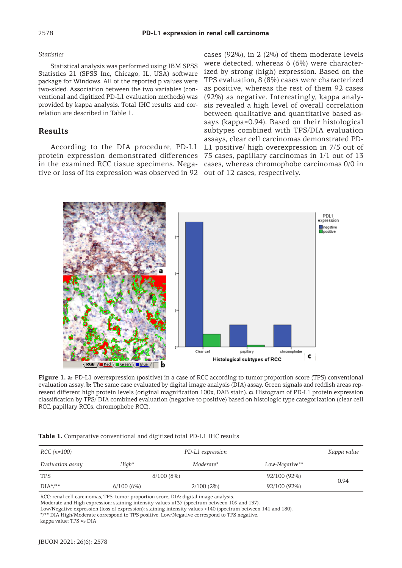### *Statistics*

Statistical analysis was performed using IBM SPSS Statistics 21 (SPSS Inc, Chicago, IL, USA) software package for Windows. All of the reported p values were two-sided. Association between the two variables (conventional and digitized PD-L1 evaluation methods) was provided by kappa analysis. Total IHC results and correlation are described in Table 1.

# **Results**

According to the DIA procedure, PD-L1 protein expression demonstrated differences tive or loss of its expression was observed in 92 out of 12 cases, respectively.

in the examined RCC tissue specimens. Nega-cases, whereas chromophobe carcinomas 0/0 in cases (92%), in 2 (2%) of them moderate levels were detected, whereas 6 (6%) were characterized by strong (high) expression. Based on the TPS evaluation, 8 (8%) cases were characterized as positive, whereas the rest of them 92 cases (92%) as negative. Interestingly, kappa analysis revealed a high level of overall correlation between qualitative and quantitative based assays (kappa=0.94). Based on their histological subtypes combined with TPS/DIA evaluation assays, clear cell carcinomas demonstrated PD-L1 positive/ high overexpression in 7/5 out of 75 cases, papillary carcinomas in 1/1 out of 13



**Figure 1. a:** PD-L1 overexpression (positive) in a case of RCC according to tumor proportion score (TPS) conventional evaluation assay. **b:** The same case evaluated by digital image analysis (DIA) assay. Green signals and reddish areas represent different high protein levels (original magnification 100x, DAB stain). **c:** Histogram of PD-L1 protein expression classification by TPS/ DIA combined evaluation (negative to positive) based on histologic type categorization (clear cell RCC, papillary RCCs, chromophobe RCC).

| RCC (n=100)      | Kappa value |              |                |      |
|------------------|-------------|--------------|----------------|------|
| Evaluation assay | $High*$     | Moderate*    | Low-Negative** |      |
| <b>TPS</b>       | 8/100(8%)   |              | 92/100 (92%)   |      |
| $DIA^*/**$       | 6/100(6%)   | $2/100(2\%)$ | 92/100 (92%)   | 0.94 |

|  |  | Table 1. Comparative conventional and digitized total PD-L1 IHC results |  |  |  |
|--|--|-------------------------------------------------------------------------|--|--|--|
|--|--|-------------------------------------------------------------------------|--|--|--|

RCC: renal cell carcinomas, TPS: tumor proportion score, DIA: digital image analysis.

Moderate and High expression: staining intensity values ≤137 (spectrum between 109 and 137).

Low/Negative expression (loss of expression): staining intensity values >140 (spectrum between 141 and 180).

\*/\*\* DIA High/Moderate correspond to TPS positive, Low/Negative correspond to TPS negative.

kappa value: TPS vs DIA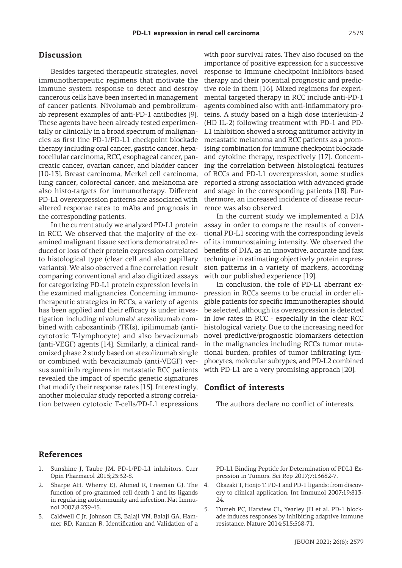## **Discussion**

Besides targeted therapeutic strategies, novel immunotherapeutic regimens that motivate the immune system response to detect and destroy cancerous cells have been inserted in management of cancer patients. Nivolumab and pembrolizumab represent examples of anti-PD-1 antibodies [9]. These agents have been already tested experimentally or clinically in a broad spectrum of malignancies as first line PD-1/PD-L1 checkpoint blockade therapy including oral cancer, gastric cancer, hepatocellular carcinoma, RCC, esophageal cancer, pancreatic cancer, ovarian cancer, and bladder cancer [10-13]. Breast carcinoma, Merkel cell carcinoma, lung cancer, colorectal cancer, and melanoma are also histo-targets for immunotherapy. Different PD-L1 overexpression patterns are associated with altered response rates to mAbs and prognosis in the corresponding patients.

In the current study we analyzed PD-L1 protein in RCC. We observed that the majority of the examined malignant tissue sections demonstrated reduced or loss of their protein expression correlated to histological type (clear cell and also papillary variants). We also observed a fine correlation result comparing conventional and also digitized assays for categorizing PD-L1 protein expression levels in the examined malignancies. Concerning immunotherapeutic strategies in RCCs, a variety of agents has been applied and their efficacy is under investigation including nivolumab/ atezolizumab combined with cabozantinib (TKIs), ipilimumab (anticytotoxic T-lymphocyte) and also bevacizumab (anti-VEGF) agents [14]. Similarly, a clinical randomized phase 2 study based on atezolizumab single or combined with bevacizumab (anti-VEGF) versus sunitinib regimens in metastatic RCC patients revealed the impact of specific genetic signatures that modify their response rates [15]. Interestingly, another molecular study reported a strong correlation between cytotoxic T-cells/PD-L1 expressions with poor survival rates. They also focused on the importance of positive expression for a successive response to immune checkpoint inhibitors-based therapy and their potential prognostic and predictive role in them [16]. Mixed regimens for experimental targeted therapy in RCC include anti-PD-1 agents combined also with anti-inflammatory proteins. A study based on a high dose interleukin-2 (HD IL-2) following treatment with PD-1 and PD-L1 inhibition showed a strong antitumor activity in metastatic melanoma and RCC patients as a promising combination for immune checkpoint blockade and cytokine therapy, respectively [17]. Concerning the correlation between histological features of RCCs and PD-L1 overexpression, some studies reported a strong association with advanced grade and stage in the corresponding patients [18]. Furthermore, an increased incidence of disease recurrence was also observed.

In the current study we implemented a DIA assay in order to compare the results of conventional PD-L1 scoring with the corresponding levels of its immunostaining intensity. We observed the benefits of DIA, as an innovative, accurate and fast technique in estimating objectively protein expression patterns in a variety of markers, according with our published experience [19].

In conclusion, the role of PD-L1 aberrant expression in RCCs seems to be crucial in order eligible patients for specific immunotherapies should be selected, although its overexpression is detected in low rates in RCC - especially in the clear RCC histological variety. Due to the increasing need for novel predictive/prognostic biomarkers detection in the malignancies including RCCs tumor mutational burden, profiles of tumor infiltrating lymphocytes, molecular subtypes, and PD-L2 combined with PD-L1 are a very promising approach [20].

### **Conflict of interests**

The authors declare no conflict of interests.

### **References**

- 1. Sunshine J, Taube JM. PD-1/PD-L1 inhibitors. Curr Opin Pharmacol 2015;23:32-8.
- 2. Sharpe AH, Wherry EJ, Ahmed R, Freeman GJ. The function of pro-grammed cell death 1 and its ligands in regulating autoimmunity and infection. Nat Immunol 2007;8:239-45.
- 3. Caldwell C Jr, Johnson CE, Balaji VN, Balaji GA, Hammer RD, Kannan R. Identification and Validation of a

PD-L1 Binding Peptide for Determination of PDL1 Expression in Tumors. Sci Rep 2017;7:13682-7.

- 4. Okazaki T, Honjo T. PD-1 and PD-1 ligands: from discovery to clinical application. Int Immunol 2007;19:813-  $24$
- 5. Tumeh PC, Harview CL, Yearley JH et al. PD-1 blockade induces responses by inhibiting adaptive immune resistance. Nature 2014;515:568-71.